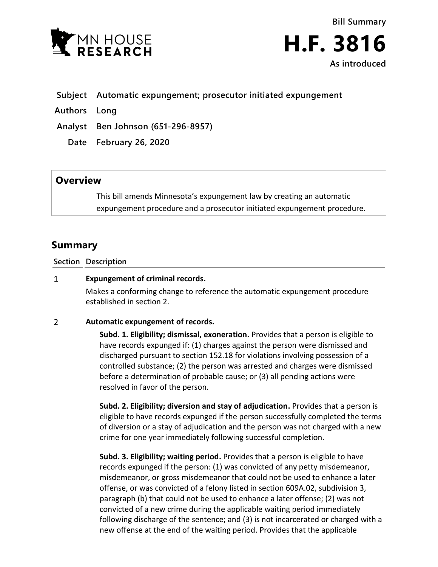

**Bill Summary H.F. 3816 As introduced**

## **Subject Automatic expungement; prosecutor initiated expungement**

**Authors Long**

**Analyst Ben Johnson (651-296-8957)**

**Date February 26, 2020**

# **Overview**

This bill amends Minnesota's expungement law by creating an automatic expungement procedure and a prosecutor initiated expungement procedure.

# **Summary**

**Section Description**

### $\mathbf{1}$ **Expungement of criminal records.**

Makes a conforming change to reference the automatic expungement procedure established in section 2.

### $\overline{2}$ **Automatic expungement of records.**

**Subd. 1. Eligibility; dismissal, exoneration.** Provides that a person is eligible to have records expunged if: (1) charges against the person were dismissed and discharged pursuant to section 152.18 for violations involving possession of a controlled substance; (2) the person was arrested and charges were dismissed before a determination of probable cause; or (3) all pending actions were resolved in favor of the person.

**Subd. 2. Eligibility; diversion and stay of adjudication.** Provides that a person is eligible to have records expunged if the person successfully completed the terms of diversion or a stay of adjudication and the person was not charged with a new crime for one year immediately following successful completion.

**Subd. 3. Eligibility; waiting period.** Provides that a person is eligible to have records expunged if the person: (1) was convicted of any petty misdemeanor, misdemeanor, or gross misdemeanor that could not be used to enhance a later offense, or was convicted of a felony listed in section 609A.02, subdivision 3, paragraph (b) that could not be used to enhance a later offense; (2) was not convicted of a new crime during the applicable waiting period immediately following discharge of the sentence; and (3) is not incarcerated or charged with a new offense at the end of the waiting period. Provides that the applicable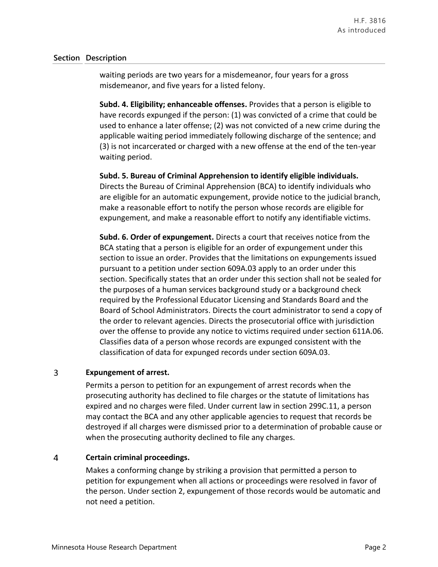### **Section Description**

waiting periods are two years for a misdemeanor, four years for a gross misdemeanor, and five years for a listed felony.

**Subd. 4. Eligibility; enhanceable offenses.** Provides that a person is eligible to have records expunged if the person: (1) was convicted of a crime that could be used to enhance a later offense; (2) was not convicted of a new crime during the applicable waiting period immediately following discharge of the sentence; and (3) is not incarcerated or charged with a new offense at the end of the ten-year waiting period.

**Subd. 5. Bureau of Criminal Apprehension to identify eligible individuals.** Directs the Bureau of Criminal Apprehension (BCA) to identify individuals who are eligible for an automatic expungement, provide notice to the judicial branch, make a reasonable effort to notify the person whose records are eligible for expungement, and make a reasonable effort to notify any identifiable victims.

**Subd. 6. Order of expungement.** Directs a court that receives notice from the BCA stating that a person is eligible for an order of expungement under this section to issue an order. Provides that the limitations on expungements issued pursuant to a petition under section 609A.03 apply to an order under this section. Specifically states that an order under this section shall not be sealed for the purposes of a human services background study or a background check required by the Professional Educator Licensing and Standards Board and the Board of School Administrators. Directs the court administrator to send a copy of the order to relevant agencies. Directs the prosecutorial office with jurisdiction over the offense to provide any notice to victims required under section 611A.06. Classifies data of a person whose records are expunged consistent with the classification of data for expunged records under section 609A.03.

### 3 **Expungement of arrest.**

Permits a person to petition for an expungement of arrest records when the prosecuting authority has declined to file charges or the statute of limitations has expired and no charges were filed. Under current law in section 299C.11, a person may contact the BCA and any other applicable agencies to request that records be destroyed if all charges were dismissed prior to a determination of probable cause or when the prosecuting authority declined to file any charges.

### $\overline{4}$ **Certain criminal proceedings.**

Makes a conforming change by striking a provision that permitted a person to petition for expungement when all actions or proceedings were resolved in favor of the person. Under section 2, expungement of those records would be automatic and not need a petition.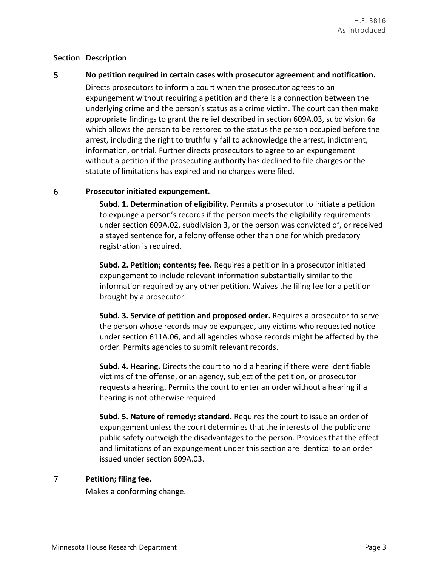### **Section Description**

### 5 **No petition required in certain cases with prosecutor agreement and notification.**

Directs prosecutors to inform a court when the prosecutor agrees to an expungement without requiring a petition and there is a connection between the underlying crime and the person's status as a crime victim. The court can then make appropriate findings to grant the relief described in section 609A.03, subdivision 6a which allows the person to be restored to the status the person occupied before the arrest, including the right to truthfully fail to acknowledge the arrest, indictment, information, or trial. Further directs prosecutors to agree to an expungement without a petition if the prosecuting authority has declined to file charges or the statute of limitations has expired and no charges were filed.

#### 6 **Prosecutor initiated expungement.**

**Subd. 1. Determination of eligibility.** Permits a prosecutor to initiate a petition to expunge a person's records if the person meets the eligibility requirements under section 609A.02, subdivision 3, or the person was convicted of, or received a stayed sentence for, a felony offense other than one for which predatory registration is required.

**Subd. 2. Petition; contents; fee.** Requires a petition in a prosecutor initiated expungement to include relevant information substantially similar to the information required by any other petition. Waives the filing fee for a petition brought by a prosecutor.

**Subd. 3. Service of petition and proposed order.** Requires a prosecutor to serve the person whose records may be expunged, any victims who requested notice under section 611A.06, and all agencies whose records might be affected by the order. Permits agencies to submit relevant records.

**Subd. 4. Hearing.** Directs the court to hold a hearing if there were identifiable victims of the offense, or an agency, subject of the petition, or prosecutor requests a hearing. Permits the court to enter an order without a hearing if a hearing is not otherwise required.

**Subd. 5. Nature of remedy; standard.** Requires the court to issue an order of expungement unless the court determines that the interests of the public and public safety outweigh the disadvantages to the person. Provides that the effect and limitations of an expungement under this section are identical to an order issued under section 609A.03.

### $\overline{7}$ **Petition; filing fee.**

Makes a conforming change.